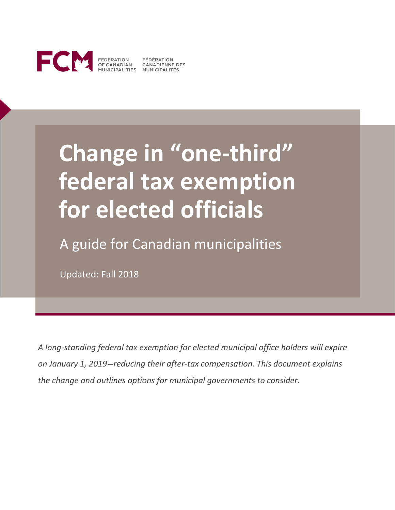

FEDERATION FÉDÉRATION<br>OF CANADIAN CANADIENNE DES<br>MUNICIPALITIES MUNICIPALITÉS

# **Change in "one-third" federal tax exemption for elected officials**

A guide for Canadian municipalities

Updated: Fall 2018

*A long-standing federal tax exemption for elected municipal office holders will expire on January 1, 2019—reducing their after-tax compensation. This document explains the change and outlines options for municipal governments to consider.*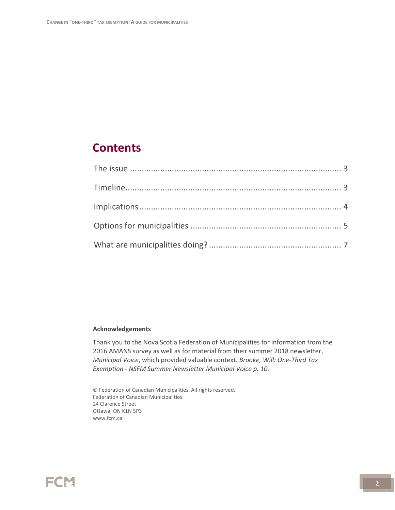### **Contents**

#### **Acknowledgements**

Thank you to the Nova Scotia Federation of Municipalities for information from the 2016 AMANS survey as well as for material from their summer 2018 newsletter, *Municipal Voice*, which provided valuable context. *Brooke, Will: One-Third Tax Exemption - NSFM Summer Newsletter Municipal Voice p. 10.*

© Federation of Canadian Municipalities. All rights reserved. Federation of Canadian Municipalities 24 Clarence Street Ottawa, ON K1N 5P3 www.fcm.ca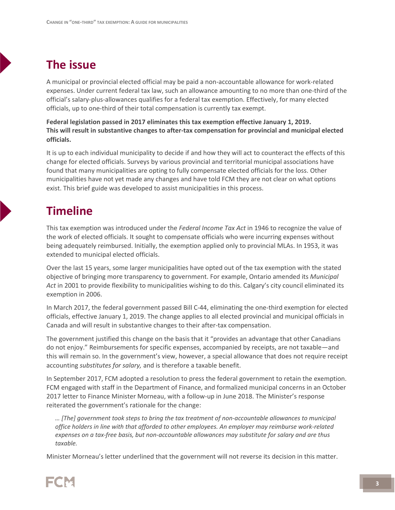## <span id="page-2-0"></span>**The issue**

A municipal or provincial elected official may be paid a non-accountable allowance for work-related expenses. Under current federal tax law, such an allowance amounting to no more than one-third of the official's salary-plus-allowances qualifies for a federal tax exemption. Effectively, for many elected officials, up to one-third of their total compensation is currently tax exempt.

**Federal legislation passed in 2017 eliminates this tax exemption effective January 1, 2019. This will result in substantive changes to after-tax compensation for provincial and municipal elected officials.**

It is up to each individual municipality to decide if and how they will act to counteract the effects of this change for elected officials. Surveys by various provincial and territorial municipal associations have found that many municipalities are opting to fully compensate elected officials for the loss. Other municipalities have not yet made any changes and have told FCM they are not clear on what options exist. This brief guide was developed to assist municipalities in this process.

## <span id="page-2-1"></span>**Timeline**

This tax exemption was introduced under the *Federal Income Tax Act* in 1946 to recognize the value of the work of elected officials. It sought to compensate officials who were incurring expenses without being adequately reimbursed. Initially, the exemption applied only to provincial MLAs. In 1953, it was extended to municipal elected officials.

Over the last 15 years, some larger municipalities have opted out of the tax exemption with the stated objective of bringing more transparency to government. For example, Ontario amended its *Municipal Act* in 2001 to provide flexibility to municipalities wishing to do this. Calgary's city council eliminated its exemption in 2006.

In March 2017, the federal government passed Bill C-44, eliminating the one-third exemption for elected officials, effective January 1, 2019. The change applies to all elected provincial and municipal officials in Canada and will result in substantive changes to their after-tax compensation.

The government justified this change on the basis that it "provides an advantage that other Canadians do not enjoy." Reimbursements for specific expenses, accompanied by receipts, are not taxable—and this will remain so. In the government's view, however, a special allowance that does not require receipt accounting *substitutes for salary,* and is therefore a taxable benefit.

In September 2017, FCM adopted a resolution to press the federal government to retain the exemption. FCM engaged with staff in the Department of Finance, and formalized municipal concerns in an October 2017 letter to Finance Minister Morneau, with a follow-up in June 2018. The Minister's response reiterated the government's rationale for the change:

*… [The] government took steps to bring the tax treatment of non-accountable allowances to municipal office holders in line with that afforded to other employees. An employer may reimburse work-related expenses on a tax-free basis, but non-accountable allowances may substitute for salary and are thus taxable.* 

Minister Morneau's letter underlined that the government will not reverse its decision in this matter.

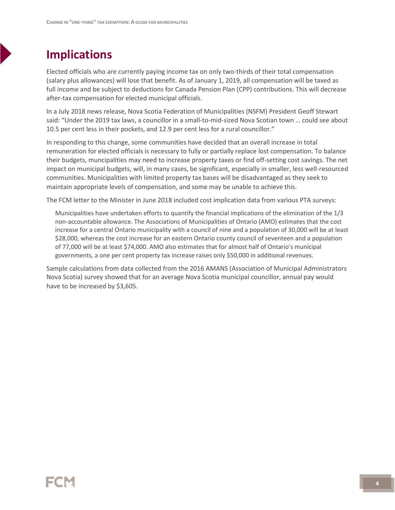## <span id="page-3-0"></span>**Implications**

Elected officials who are currently paying income tax on only two-thirds of their total compensation (salary plus allowances) will lose that benefit. As of January 1, 2019, all compensation will be taxed as full income and be subject to deductions for Canada Pension Plan (CPP) contributions. This will decrease after-tax compensation for elected municipal officials.

In a July 2018 news release, Nova Scotia Federation of Municipalities (NSFM) President Geoff Stewart said: "Under the 2019 tax laws, a councillor in a small-to-mid-sized Nova Scotian town … could see about 10.5 per cent less in their pockets, and 12.9 per cent less for a rural councillor."

In responding to this change, some communities have decided that an overall increase in total remuneration for elected officials is necessary to fully or partially replace lost compensation. To balance their budgets, muncipalities may need to increase property taxes or find off-setting cost savings. The net impact on municipal budgets, will, in many cases, be significant, especially in smaller, less well-resourced communities. Municipalities with limited property tax bases will be disadvantaged as they seek to maintain appropriate levels of compensation, and some may be unable to achieve this.

The FCM letter to the Minister in June 2018 included cost implication data from various PTA surveys:

Municipalities have undertaken efforts to quantify the financial implications of the elimination of the 1/3 non-accountable allowance. The Associations of Municipalities of Ontario (AMO) estimates that the cost increase for a central Ontario municipality with a council of nine and a population of 30,000 will be at least \$28,000, whereas the cost increase for an eastern Ontario county council of seventeen and a population of 77,000 will be at least \$74,000. AMO also estimates that for almost half of Ontario's municipal governments, a one per cent property tax increase raises only \$50,000 in additional revenues.

Sample calculations from data collected from the 2016 AMANS (Association of Municipal Administrators Nova Scotia) survey showed that for an average Nova Scotia municipal councillor, annual pay would have to be increased by \$3,605.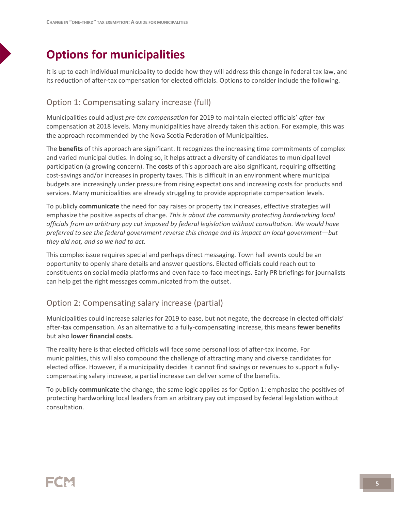## <span id="page-4-0"></span>**Options for municipalities**

It is up to each individual municipality to decide how they will address this change in federal tax law, and its reduction of after-tax compensation for elected officials. Options to consider include the following.

#### Option 1: Compensating salary increase (full)

Municipalities could adjust *pre-tax compensation* for 2019 to maintain elected officials' *after-tax* compensation at 2018 levels. Many municipalities have already taken this action. For example, this was the approach recommended by the Nova Scotia Federation of Municipalities.

The **benefits** of this approach are significant. It recognizes the increasing time commitments of complex and varied municipal duties. In doing so, it helps attract a diversity of candidates to municipal level participation (a growing concern). The **costs** of this approach are also significant, requiring offsetting cost-savings and/or increases in property taxes. This is difficult in an environment where municipal budgets are increasingly under pressure from rising expectations and increasing costs for products and services. Many municipalities are already struggling to provide appropriate compensation levels.

To publicly **communicate** the need for pay raises or property tax increases, effective strategies will emphasize the positive aspects of change. *This is about the community protecting hardworking local officials from an arbitrary pay cut imposed by federal legislation without consultation. We would have preferred to see the federal government reverse this change and its impact on local government—but they did not, and so we had to act.* 

This complex issue requires special and perhaps direct messaging. Town hall events could be an opportunity to openly share details and answer questions. Elected officials could reach out to constituents on social media platforms and even face-to-face meetings. Early PR briefings for journalists can help get the right messages communicated from the outset.

#### Option 2: Compensating salary increase (partial)

Municipalities could increase salaries for 2019 to ease, but not negate, the decrease in elected officials' after-tax compensation. As an alternative to a fully-compensating increase, this means **fewer benefits** but also **lower financial costs.** 

The reality here is that elected officials will face some personal loss of after-tax income. For municipalities, this will also compound the challenge of attracting many and diverse candidates for elected office. However, if a municipality decides it cannot find savings or revenues to support a fullycompensating salary increase, a partial increase can deliver some of the benefits.

To publicly **communicate** the change, the same logic applies as for Option 1: emphasize the positives of protecting hardworking local leaders from an arbitrary pay cut imposed by federal legislation without consultation.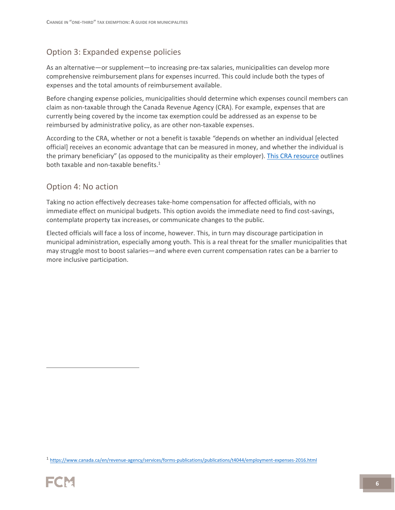#### Option 3: Expanded expense policies

As an alternative—or supplement—to increasing pre-tax salaries, municipalities can develop more comprehensive reimbursement plans for expenses incurred. This could include both the types of expenses and the total amounts of reimbursement available.

Before changing expense policies, municipalities should determine which expenses council members can claim as non-taxable through the Canada Revenue Agency (CRA). For example, expenses that are currently being covered by the income tax exemption could be addressed as an expense to be reimbursed by administrative policy, as are other non-taxable expenses.

According to the CRA, whether or not a benefit is taxable *"*depends on whether an individual [elected official] receives an economic advantage that can be measured in money, and whether the individual is the primary beneficiary" (as opposed to the municipality as their employer). [This CRA resource](https://www.canada.ca/en/revenue-agency/services/forms-publications/publications/t4044/employment-expenses-2016.html) outlines both taxable and non-taxable benefits. $1$ 

#### Option 4: No action

Taking no action effectively decreases take-home compensation for affected officials, with no immediate effect on municipal budgets. This option avoids the immediate need to find cost-savings, contemplate property tax increases, or communicate changes to the public.

Elected officials will face a loss of income, however. This, in turn may discourage participation in municipal administration, especially among youth. This is a real threat for the smaller municipalities that may struggle most to boost salaries—and where even current compensation rates can be a barrier to more inclusive participation.

<sup>1</sup> <https://www.canada.ca/en/revenue-agency/services/forms-publications/publications/t4044/employment-expenses-2016.html>



 $\overline{a}$